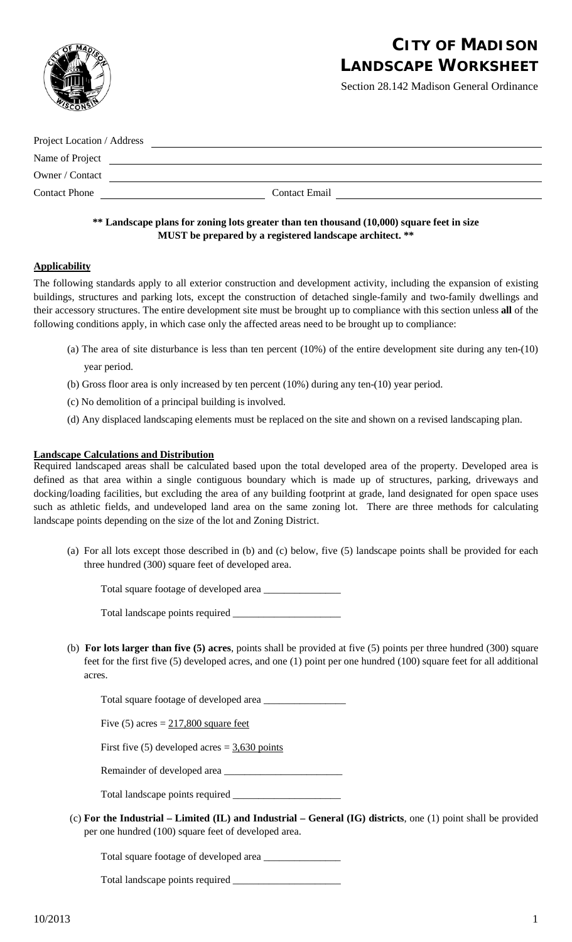

# **CITY OF MADISON LANDSCAPE WORKSHEET**

Section 28.142 Madison General Ordinance

| Project Location / Address |                      |
|----------------------------|----------------------|
| Name of Project            |                      |
| Owner / Contact            |                      |
| <b>Contact Phone</b>       | <b>Contact Email</b> |

## **\*\* Landscape plans for zoning lots greater than ten thousand (10,000) square feet in size MUST be prepared by a registered landscape architect. \*\***

## **Applicability**

The following standards apply to all exterior construction and development activity, including the expansion of existing buildings, structures and parking lots, except the construction of detached single-family and two-family dwellings and their accessory structures. The entire development site must be brought up to compliance with this section unless **all** of the following conditions apply, in which case only the affected areas need to be brought up to compliance:

- (a) The area of site disturbance is less than ten percent (10%) of the entire development site during any ten-(10) year period.
- (b) Gross floor area is only increased by ten percent (10%) during any ten-(10) year period.
- (c) No demolition of a principal building is involved.
- (d) Any displaced landscaping elements must be replaced on the site and shown on a revised landscaping plan.

#### **Landscape Calculations and Distribution**

Required landscaped areas shall be calculated based upon the total developed area of the property. Developed area is defined as that area within a single contiguous boundary which is made up of structures, parking, driveways and docking/loading facilities, but excluding the area of any building footprint at grade, land designated for open space uses such as athletic fields, and undeveloped land area on the same zoning lot. There are three methods for calculating landscape points depending on the size of the lot and Zoning District.

(a) For all lots except those described in (b) and (c) below, five (5) landscape points shall be provided for each three hundred (300) square feet of developed area.

Total square footage of developed area  $\_\_$ 

Total landscape points required \_\_\_\_\_\_\_\_\_\_\_\_\_\_\_\_\_\_\_\_\_

(b) **For lots larger than five (5) acres**, points shall be provided at five (5) points per three hundred (300) square feet for the first five (5) developed acres, and one (1) point per one hundred (100) square feet for all additional acres.

Total square footage of developed area

Five  $(5)$  acres =  $217,800$  square feet

First five (5) developed acres  $=$   $\frac{3,630}{,}$  points

Remainder of developed area \_\_\_\_\_\_\_\_\_\_\_\_\_\_\_\_\_\_\_\_\_\_\_

Total landscape points required

(c) **For the Industrial – Limited (IL) and Industrial – General (IG) districts**, one (1) point shall be provided per one hundred (100) square feet of developed area.

Total square footage of developed area \_\_\_\_\_\_\_\_\_\_\_\_\_\_\_

Total landscape points required \_\_\_\_\_\_\_\_\_\_\_\_\_\_\_\_\_\_\_\_\_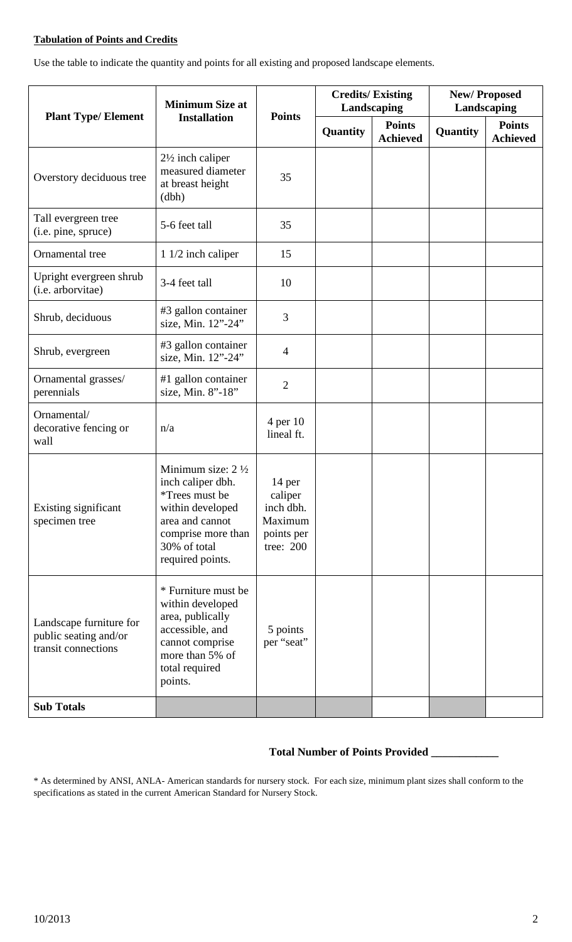## **Tabulation of Points and Credits**

Use the table to indicate the quantity and points for all existing and proposed landscape elements.

| <b>Plant Type/ Element</b>                                              | <b>Minimum Size at</b><br><b>Installation</b>                                                                                                                               | <b>Points</b>                                                        | <b>Credits/Existing</b><br>Landscaping |                                  | <b>New/Proposed</b><br>Landscaping |                                  |
|-------------------------------------------------------------------------|-----------------------------------------------------------------------------------------------------------------------------------------------------------------------------|----------------------------------------------------------------------|----------------------------------------|----------------------------------|------------------------------------|----------------------------------|
|                                                                         |                                                                                                                                                                             |                                                                      | Quantity                               | <b>Points</b><br><b>Achieved</b> | Quantity                           | <b>Points</b><br><b>Achieved</b> |
| Overstory deciduous tree                                                | $2\frac{1}{2}$ inch caliper<br>measured diameter<br>at breast height<br>(dbh)                                                                                               | 35                                                                   |                                        |                                  |                                    |                                  |
| Tall evergreen tree<br>(i.e. pine, spruce)                              | 5-6 feet tall                                                                                                                                                               | 35                                                                   |                                        |                                  |                                    |                                  |
| Ornamental tree                                                         | 1 1/2 inch caliper                                                                                                                                                          | 15                                                                   |                                        |                                  |                                    |                                  |
| Upright evergreen shrub<br>(i.e. arborvitae)                            | 3-4 feet tall                                                                                                                                                               | 10                                                                   |                                        |                                  |                                    |                                  |
| Shrub, deciduous                                                        | #3 gallon container<br>size, Min. 12"-24"                                                                                                                                   | 3                                                                    |                                        |                                  |                                    |                                  |
| Shrub, evergreen                                                        | #3 gallon container<br>size, Min. 12"-24"                                                                                                                                   | $\overline{4}$                                                       |                                        |                                  |                                    |                                  |
| Ornamental grasses/<br>perennials                                       | #1 gallon container<br>size, Min. 8"-18"                                                                                                                                    | $\overline{2}$                                                       |                                        |                                  |                                    |                                  |
| Ornamental/<br>decorative fencing or<br>wall                            | n/a                                                                                                                                                                         | 4 per 10<br>lineal ft.                                               |                                        |                                  |                                    |                                  |
| Existing significant<br>specimen tree                                   | Minimum size: $2\frac{1}{2}$<br>inch caliper dbh.<br><i>*Trees must be</i><br>within developed<br>area and cannot<br>comprise more than<br>30% of total<br>required points. | 14 per<br>caliper<br>inch dbh.<br>Maximum<br>points per<br>tree: 200 |                                        |                                  |                                    |                                  |
| Landscape furniture for<br>public seating and/or<br>transit connections | * Furniture must be<br>within developed<br>area, publically<br>accessible, and<br>cannot comprise<br>more than 5% of<br>total required<br>points.                           | 5 points<br>per "seat"                                               |                                        |                                  |                                    |                                  |
| <b>Sub Totals</b>                                                       |                                                                                                                                                                             |                                                                      |                                        |                                  |                                    |                                  |

## **Total Number of Points Provided \_\_\_\_\_\_\_\_\_\_\_\_**

\* As determined by ANSI, ANLA- American standards for nursery stock. For each size, minimum plant sizes shall conform to the specifications as stated in the current American Standard for Nursery Stock.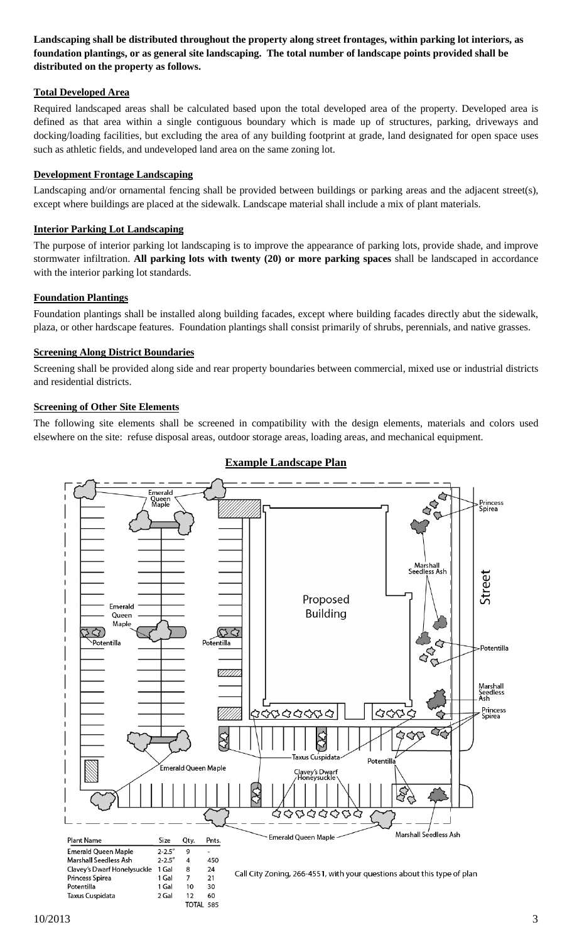**Landscaping shall be distributed throughout the property along street frontages, within parking lot interiors, as foundation plantings, or as general site landscaping. The total number of landscape points provided shall be distributed on the property as follows.**

### **Total Developed Area**

Required landscaped areas shall be calculated based upon the total developed area of the property. Developed area is defined as that area within a single contiguous boundary which is made up of structures, parking, driveways and docking/loading facilities, but excluding the area of any building footprint at grade, land designated for open space uses such as athletic fields, and undeveloped land area on the same zoning lot.

## **Development Frontage Landscaping**

Landscaping and/or ornamental fencing shall be provided between buildings or parking areas and the adjacent street(s), except where buildings are placed at the sidewalk. Landscape material shall include a mix of plant materials.

### **Interior Parking Lot Landscaping**

The purpose of interior parking lot landscaping is to improve the appearance of parking lots, provide shade, and improve stormwater infiltration. **All parking lots with twenty (20) or more parking spaces** shall be landscaped in accordance with the interior parking lot standards.

#### **Foundation Plantings**

Foundation plantings shall be installed along building facades, except where building facades directly abut the sidewalk, plaza, or other hardscape features. Foundation plantings shall consist primarily of shrubs, perennials, and native grasses.

#### **Screening Along District Boundaries**

Screening shall be provided along side and rear property boundaries between commercial, mixed use or industrial districts and residential districts.

#### **Screening of Other Site Elements**

The following site elements shall be screened in compatibility with the design elements, materials and colors used elsewhere on the site: refuse disposal areas, outdoor storage areas, loading areas, and mechanical equipment.



## **Example Landscape Plan**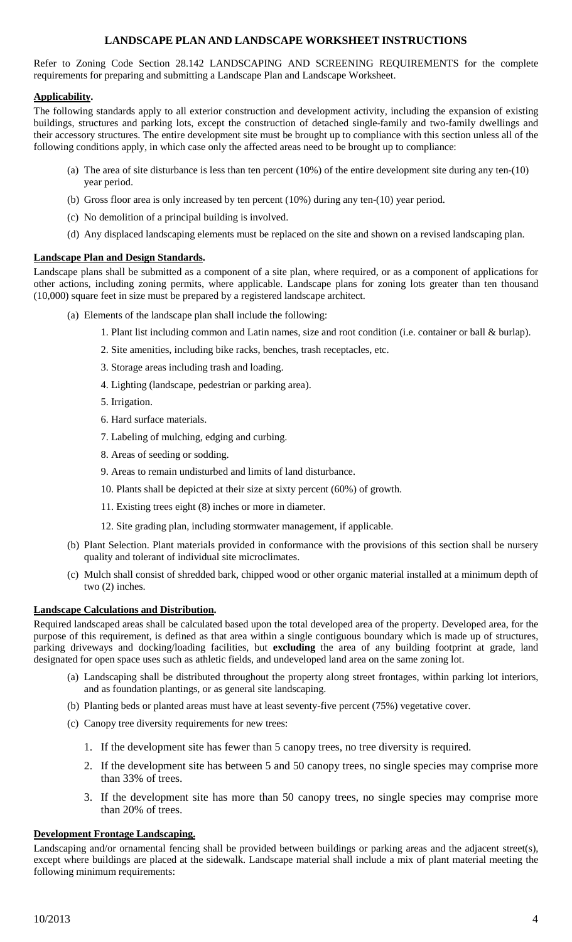## **LANDSCAPE PLAN AND LANDSCAPE WORKSHEET INSTRUCTIONS**

Refer to Zoning Code Section 28.142 LANDSCAPING AND SCREENING REQUIREMENTS for the complete requirements for preparing and submitting a Landscape Plan and Landscape Worksheet.

#### **Applicability .**

The following standards apply to all exterior construction and development activity, including the expansion of existing buildings, structures and parking lots, except the construction of detached single-family and two-family dwellings and their accessory structures. The entire development site must be brought up to compliance with this section unless all of the following conditions apply, in which case only the affected areas need to be brought up to compliance:

- (a) The area of site disturbance is less than ten percent (10%) of the entire development site during any ten-(10) year period.
- (b) Gross floor area is only increased by ten percent (10%) during any ten-(10) year period.
- (c) No demolition of a principal building is involved.
- (d) Any displaced landscaping elements must be replaced on the site and shown on a revised landscaping plan.

#### **Landscape Plan and Design Standards .**

Landscape plans shall be submitted as a component of a site plan, where required, or as a component of applications for other actions, including zoning permits, where applicable. Landscape plans for zoning lots greater than ten thousand (10,000) square feet in size must be prepared by a registered landscape architect.

- (a) Elements of the landscape plan shall include the following:
	- 1. Plant list including common and Latin names, size and root condition (i.e. container or ball & burlap).
	- 2. Site amenities, including bike racks, benches, trash receptacles, etc.
	- 3. Storage areas including trash and loading.
	- 4. Lighting (landscape, pedestrian or parking area).
	- 5. Irrigation.
	- 6. Hard surface materials.
	- 7. Labeling of mulching, edging and curbing.
	- 8. Areas of seeding or sodding.
	- 9. Areas to remain undisturbed and limits of land disturbance.
	- 10. Plants shall be depicted at their size at sixty percent (60%) of growth.
	- 11. Existing trees eight (8) inches or more in diameter.
	- 12. Site grading plan, including stormwater management, if applicable.
- (b) Plant Selection. Plant materials provided in conformance with the provisions of this section shall be nursery quality and tolerant of individual site microclimates.
- (c) Mulch shall consist of shredded bark, chipped wood or other organic material installed at a minimum depth of two (2) inches.

#### **Landscape Calculations and Distribution .**

Required landscaped areas shall be calculated based upon the total developed area of the property. Developed area, for the purpose of this requirement, is defined as that area within a single contiguous boundary which is made up of structures, parking driveways and docking/loading facilities, but **excluding** the area of any building footprint at grade, land designated for open space uses such as athletic fields, and undeveloped land area on the same zoning lot.

- (a) Landscaping shall be distributed throughout the property along street frontages, within parking lot interiors, and as foundation plantings, or as general site landscaping.
- (b) Planting beds or planted areas must have at least seventy-five percent (75%) vegetative cover.
- (c) Canopy tree diversity requirements for new trees:
	- 1. If the development site has fewer than 5 canopy trees, no tree diversity is required.
	- 2. If the development site has between 5 and 50 canopy trees, no single species may comprise more than 33% of trees.
	- 3. If the development site has more than 50 canopy trees, no single species may comprise more than 20% of trees.

#### **Development Frontage Landscaping.**

Landscaping and/or ornamental fencing shall be provided between buildings or parking areas and the adjacent street(s), except where buildings are placed at the sidewalk. Landscape material shall include a mix of plant material meeting the following minimum requirements: